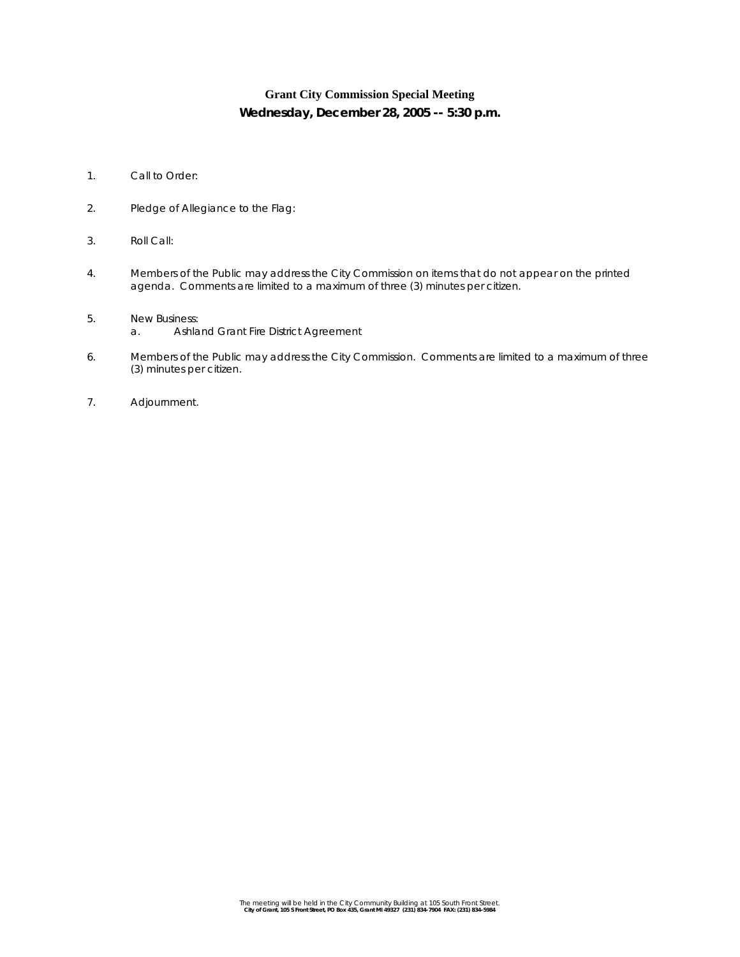# **Grant City Commission Special Meeting Wednesday, December 28, 2005 -- 5:30 p.m.**

- 1. Call to Order:
- 2. Pledge of Allegiance to the Flag:
- 3. Roll Call:
- 4. Members of the Public may address the City Commission on items that do not appear on the printed agenda. Comments are limited to a maximum of three (3) minutes per citizen.
- 5. New Business:
	- a. Ashland Grant Fire District Agreement
- 6. Members of the Public may address the City Commission. Comments are limited to a maximum of three (3) minutes per citizen.
- 7. Adjournment.